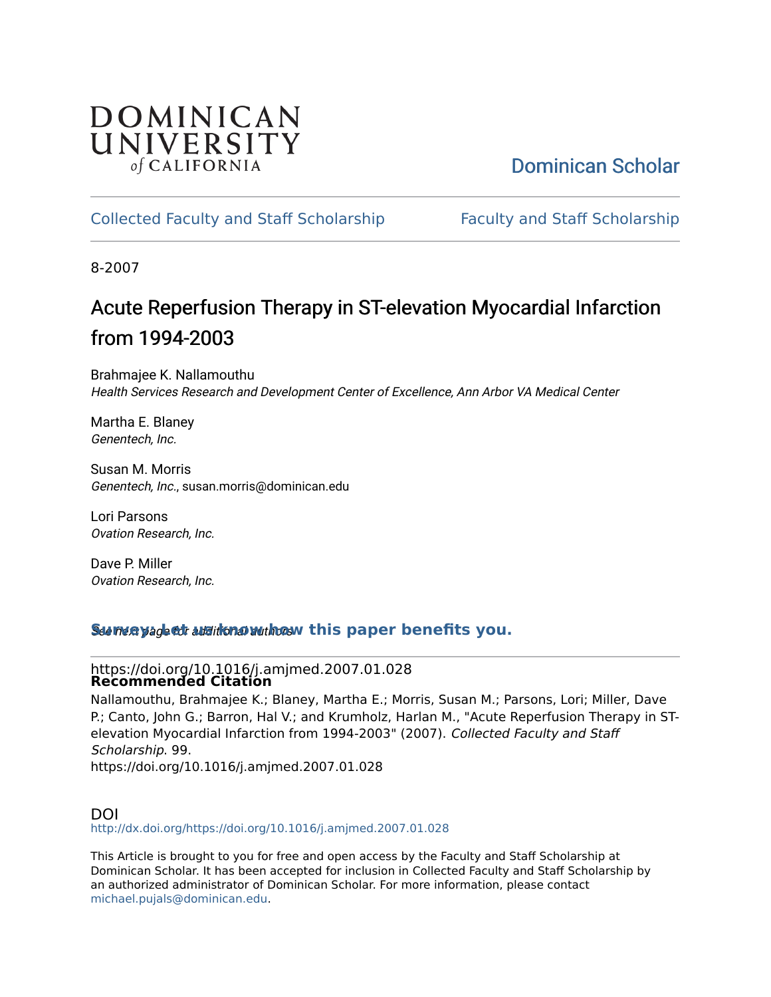# DOMINICAN UNIVERSITY of CALIFORNIA

# [Dominican Scholar](https://scholar.dominican.edu/)

# [Collected Faculty and Staff Scholarship](https://scholar.dominican.edu/all-faculty) [Faculty and Staff Scholarship](https://scholar.dominican.edu/faculty-scholarship)

8-2007

# Acute Reperfusion Therapy in ST-elevation My ocardial Infarction from 1994-2003

Brahmajee K. Nallamouthu Health Services Research and Development Center of Excellence, Ann Arbor VA Medical Center

Martha E. Blaney Genentech, Inc.

Susan M. Morris Genentech, Inc., susan.morris@dominican.edu

Lori Parsons Ovation Research, Inc.

Dave P. Miller Ovation Research, Inc.

# See next page for additional authors **[Survey: Let us know how this paper benefits you.](https://dominican.libwizard.com/dominican-scholar-feedback)**

### https://doi.org/10.1016/j.amjmed.2007.01.028 **Recommended Citation**

Nallamouthu, Brahmajee K.; Blaney, Martha E.; Morris, Susan M.; Parsons, Lori; Miller, Dave P.; Canto, John G.; Barron, Hal V.; and Krumholz, Harlan M., "Acute Reperfusion Therapy in STelevation Myocardial Infarction from 1994-2003" (2007). Collected Faculty and Staff Scholarship. 99. https://doi.org/10.1016/j.amjmed.2007.01.028

### DOI <http://dx.doi.org/https://doi.org/10.1016/j.amjmed.2007.01.028>

This Article is brought to you for free and open access by the Faculty and Staff Scholarship at Dominican Scholar. It has been accepted for inclusion in Collected Faculty and Staff Scholarship by an authorized administrator of Dominican Scholar. For more information, please contact [michael.pujals@dominican.edu.](mailto:michael.pujals@dominican.edu)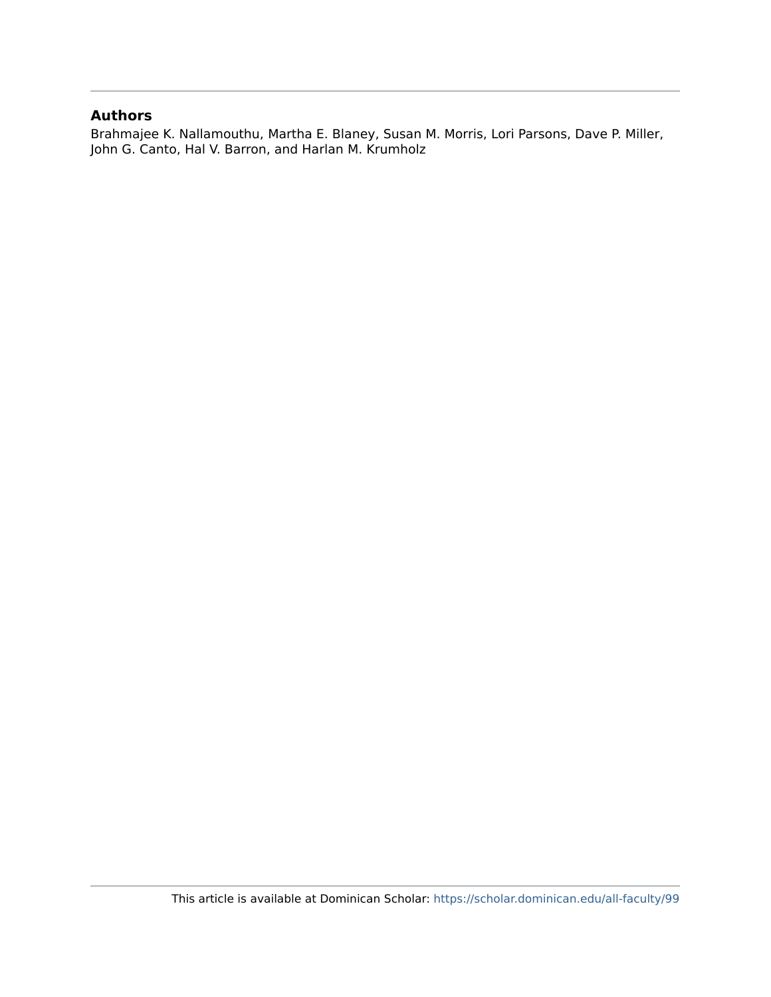## **Authors**

Brahmajee K. Nallamouthu, Martha E. Blaney, Susan M. Morris, Lori Parsons, Dave P. Miller, John G. Canto, Hal V. Barron, and Harlan M. Krumholz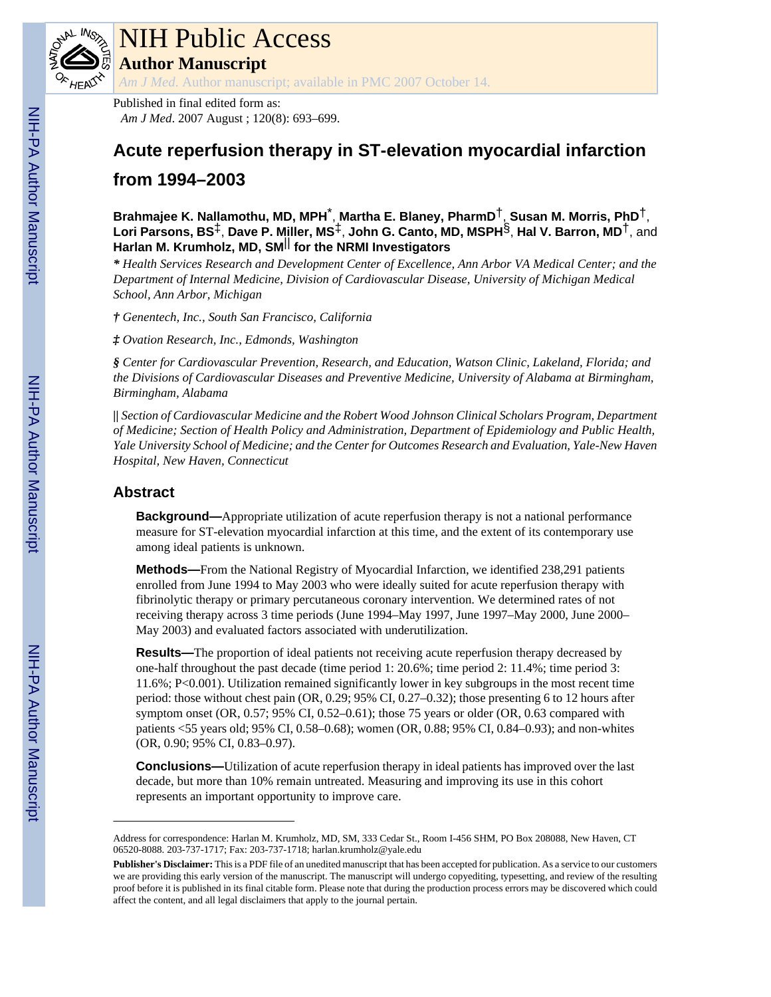

# NIH Public Access

**Author Manuscript**

*Am J Med*. Author manuscript; available in PMC 2007 October 14.

Published in final edited form as: *Am J Med*. 2007 August ; 120(8): 693–699.

# **Acute reperfusion therapy in ST-elevation myocardial infarction from 1994–2003**

**Brahmajee K. Nallamothu, MD, MPH**\* , **Martha E. Blaney, PharmD**†, **Susan M. Morris, PhD**†, **Lori Parsons, BS**‡, **Dave P. Miller, MS**‡, **John G. Canto, MD, MSPH**§, **Hal V. Barron, MD**†, and **Harlan M. Krumholz, MD, SM**|| **for the NRMI Investigators**

*\* Health Services Research and Development Center of Excellence, Ann Arbor VA Medical Center; and the Department of Internal Medicine, Division of Cardiovascular Disease, University of Michigan Medical School, Ann Arbor, Michigan*

*† Genentech, Inc., South San Francisco, California*

*‡ Ovation Research, Inc., Edmonds, Washington*

*§ Center for Cardiovascular Prevention, Research, and Education, Watson Clinic, Lakeland, Florida; and the Divisions of Cardiovascular Diseases and Preventive Medicine, University of Alabama at Birmingham, Birmingham, Alabama*

*|| Section of Cardiovascular Medicine and the Robert Wood Johnson Clinical Scholars Program, Department of Medicine; Section of Health Policy and Administration, Department of Epidemiology and Public Health, Yale University School of Medicine; and the Center for Outcomes Research and Evaluation, Yale-New Haven Hospital, New Haven, Connecticut*

# **Abstract**

**Background—**Appropriate utilization of acute reperfusion therapy is not a national performance measure for ST-elevation myocardial infarction at this time, and the extent of its contemporary use among ideal patients is unknown.

**Methods—**From the National Registry of Myocardial Infarction, we identified 238,291 patients enrolled from June 1994 to May 2003 who were ideally suited for acute reperfusion therapy with fibrinolytic therapy or primary percutaneous coronary intervention. We determined rates of not receiving therapy across 3 time periods (June 1994–May 1997, June 1997–May 2000, June 2000– May 2003) and evaluated factors associated with underutilization.

**Results—**The proportion of ideal patients not receiving acute reperfusion therapy decreased by one-half throughout the past decade (time period 1: 20.6%; time period 2: 11.4%; time period 3: 11.6%; P<0.001). Utilization remained significantly lower in key subgroups in the most recent time period: those without chest pain (OR, 0.29; 95% CI, 0.27–0.32); those presenting 6 to 12 hours after symptom onset (OR, 0.57; 95% CI, 0.52–0.61); those 75 years or older (OR, 0.63 compared with patients <55 years old; 95% CI, 0.58–0.68); women (OR, 0.88; 95% CI, 0.84–0.93); and non-whites (OR, 0.90; 95% CI, 0.83–0.97).

**Conclusions—**Utilization of acute reperfusion therapy in ideal patients has improved over the last decade, but more than 10% remain untreated. Measuring and improving its use in this cohort represents an important opportunity to improve care.

Address for correspondence: Harlan M. Krumholz, MD, SM, 333 Cedar St., Room I-456 SHM, PO Box 208088, New Haven, CT 06520-8088. 203-737-1717; Fax: 203-737-1718; harlan.krumholz@yale.edu

**Publisher's Disclaimer:** This is a PDF file of an unedited manuscript that has been accepted for publication. As a service to our customers we are providing this early version of the manuscript. The manuscript will undergo copyediting, typesetting, and review of the resulting proof before it is published in its final citable form. Please note that during the production process errors may be discovered which could affect the content, and all legal disclaimers that apply to the journal pertain.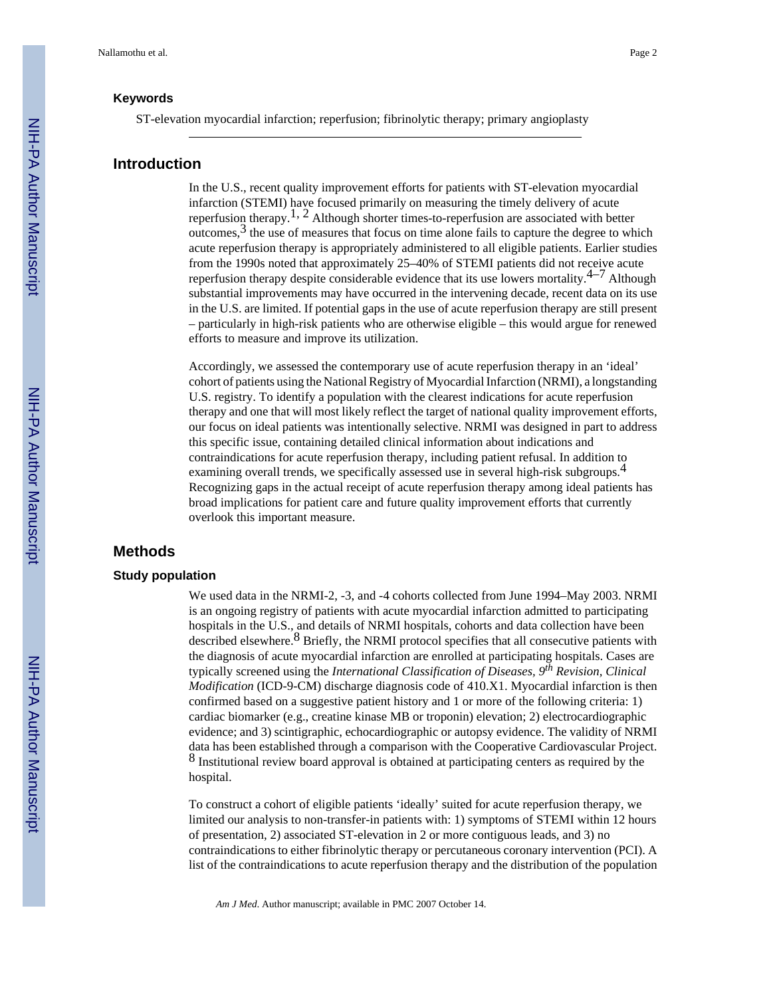ST-elevation myocardial infarction; reperfusion; fibrinolytic therapy; primary angioplasty

#### **Introduction**

In the U.S., recent quality improvement efforts for patients with ST-elevation myocardial infarction (STEMI) have focused primarily on measuring the timely delivery of acute reperfusion therapy.<sup>1, 2</sup> Although shorter times-to-reperfusion are associated with better  $o$ utcomes,  $\frac{3}{3}$  the use of measures that focus on time alone fails to capture the degree to which acute reperfusion therapy is appropriately administered to all eligible patients. Earlier studies from the 1990s noted that approximately 25–40% of STEMI patients did not receive acute reperfusion therapy despite considerable evidence that its use lowers mortality.<sup>4–7</sup> Although substantial improvements may have occurred in the intervening decade, recent data on its use in the U.S. are limited. If potential gaps in the use of acute reperfusion therapy are still present – particularly in high-risk patients who are otherwise eligible – this would argue for renewed efforts to measure and improve its utilization.

Accordingly, we assessed the contemporary use of acute reperfusion therapy in an 'ideal' cohort of patients using the National Registry of Myocardial Infarction (NRMI), a longstanding U.S. registry. To identify a population with the clearest indications for acute reperfusion therapy and one that will most likely reflect the target of national quality improvement efforts, our focus on ideal patients was intentionally selective. NRMI was designed in part to address this specific issue, containing detailed clinical information about indications and contraindications for acute reperfusion therapy, including patient refusal. In addition to examining overall trends, we specifically assessed use in several high-risk subgroups.<sup>4</sup> Recognizing gaps in the actual receipt of acute reperfusion therapy among ideal patients has broad implications for patient care and future quality improvement efforts that currently overlook this important measure.

#### **Methods**

#### **Study population**

We used data in the NRMI-2, -3, and -4 cohorts collected from June 1994–May 2003. NRMI is an ongoing registry of patients with acute myocardial infarction admitted to participating hospitals in the U.S., and details of NRMI hospitals, cohorts and data collection have been described elsewhere.<sup>8</sup> Briefly, the NRMI protocol specifies that all consecutive patients with the diagnosis of acute myocardial infarction are enrolled at participating hospitals. Cases are typically screened using the *International Classification of Diseases, 9th Revision, Clinical Modification* (ICD-9-CM) discharge diagnosis code of 410.X1. Myocardial infarction is then confirmed based on a suggestive patient history and 1 or more of the following criteria: 1) cardiac biomarker (e.g., creatine kinase MB or troponin) elevation; 2) electrocardiographic evidence; and 3) scintigraphic, echocardiographic or autopsy evidence. The validity of NRMI data has been established through a comparison with the Cooperative Cardiovascular Project. 8 Institutional review board approval is obtained at participating centers as required by the hospital.

To construct a cohort of eligible patients 'ideally' suited for acute reperfusion therapy, we limited our analysis to non-transfer-in patients with: 1) symptoms of STEMI within 12 hours of presentation, 2) associated ST-elevation in 2 or more contiguous leads, and 3) no contraindications to either fibrinolytic therapy or percutaneous coronary intervention (PCI). A list of the contraindications to acute reperfusion therapy and the distribution of the population

*Am J Med*. Author manuscript; available in PMC 2007 October 14.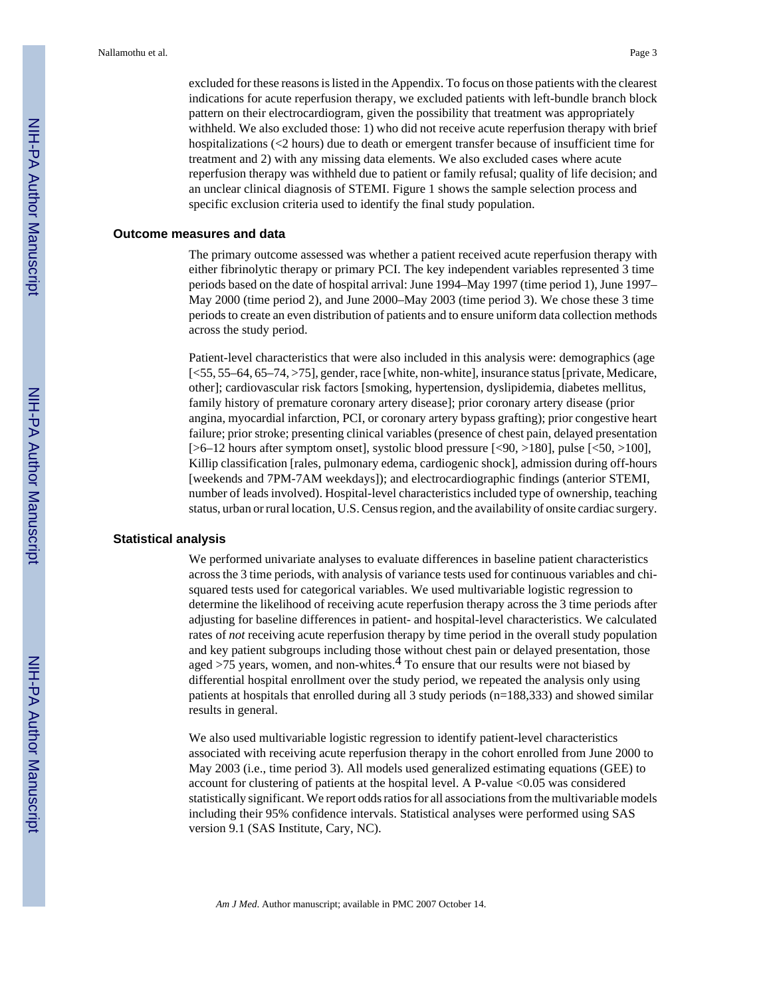excluded for these reasons is listed in the Appendix. To focus on those patients with the clearest indications for acute reperfusion therapy, we excluded patients with left-bundle branch block pattern on their electrocardiogram, given the possibility that treatment was appropriately withheld. We also excluded those: 1) who did not receive acute reperfusion therapy with brief hospitalizations (<2 hours) due to death or emergent transfer because of insufficient time for treatment and 2) with any missing data elements. We also excluded cases where acute reperfusion therapy was withheld due to patient or family refusal; quality of life decision; and an unclear clinical diagnosis of STEMI. Figure 1 shows the sample selection process and specific exclusion criteria used to identify the final study population.

#### **Outcome measures and data**

The primary outcome assessed was whether a patient received acute reperfusion therapy with either fibrinolytic therapy or primary PCI. The key independent variables represented 3 time periods based on the date of hospital arrival: June 1994–May 1997 (time period 1), June 1997– May 2000 (time period 2), and June 2000–May 2003 (time period 3). We chose these 3 time periods to create an even distribution of patients and to ensure uniform data collection methods across the study period.

Patient-level characteristics that were also included in this analysis were: demographics (age [<55, 55–64, 65–74, >75], gender, race [white, non-white], insurance status [private, Medicare, other]; cardiovascular risk factors [smoking, hypertension, dyslipidemia, diabetes mellitus, family history of premature coronary artery disease]; prior coronary artery disease (prior angina, myocardial infarction, PCI, or coronary artery bypass grafting); prior congestive heart failure; prior stroke; presenting clinical variables (presence of chest pain, delayed presentation  $[-6-12$  hours after symptom onset], systolic blood pressure  $[-50, 180]$ , pulse  $[-50, 100]$ , Killip classification [rales, pulmonary edema, cardiogenic shock], admission during off-hours [weekends and 7PM-7AM weekdays]); and electrocardiographic findings (anterior STEMI, number of leads involved). Hospital-level characteristics included type of ownership, teaching status, urban or rural location, U.S. Census region, and the availability of onsite cardiac surgery.

#### **Statistical analysis**

We performed univariate analyses to evaluate differences in baseline patient characteristics across the 3 time periods, with analysis of variance tests used for continuous variables and chisquared tests used for categorical variables. We used multivariable logistic regression to determine the likelihood of receiving acute reperfusion therapy across the 3 time periods after adjusting for baseline differences in patient- and hospital-level characteristics. We calculated rates of *not* receiving acute reperfusion therapy by time period in the overall study population and key patient subgroups including those without chest pain or delayed presentation, those aged  $>75$  years, women, and non-whites.<sup>4</sup> To ensure that our results were not biased by differential hospital enrollment over the study period, we repeated the analysis only using patients at hospitals that enrolled during all 3 study periods (n=188,333) and showed similar results in general.

We also used multivariable logistic regression to identify patient-level characteristics associated with receiving acute reperfusion therapy in the cohort enrolled from June 2000 to May 2003 (i.e., time period 3). All models used generalized estimating equations (GEE) to account for clustering of patients at the hospital level. A P-value <0.05 was considered statistically significant. We report odds ratios for all associations from the multivariable models including their 95% confidence intervals. Statistical analyses were performed using SAS version 9.1 (SAS Institute, Cary, NC).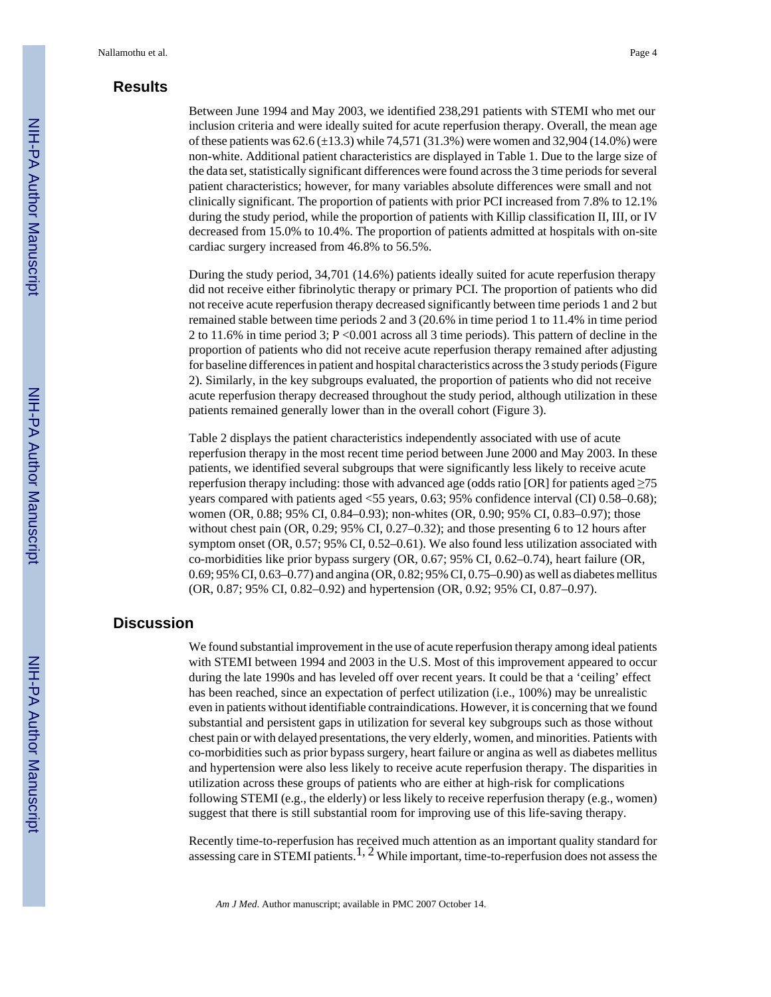## **Results**

Between June 1994 and May 2003, we identified 238,291 patients with STEMI who met our inclusion criteria and were ideally suited for acute reperfusion therapy. Overall, the mean age of these patients was  $62.6 \pm 13.3$ ) while 74,571 (31.3%) were women and 32,904 (14.0%) were non-white. Additional patient characteristics are displayed in Table 1. Due to the large size of the data set, statistically significant differences were found across the 3 time periods for several patient characteristics; however, for many variables absolute differences were small and not clinically significant. The proportion of patients with prior PCI increased from 7.8% to 12.1% during the study period, while the proportion of patients with Killip classification II, III, or IV decreased from 15.0% to 10.4%. The proportion of patients admitted at hospitals with on-site cardiac surgery increased from 46.8% to 56.5%.

During the study period, 34,701 (14.6%) patients ideally suited for acute reperfusion therapy did not receive either fibrinolytic therapy or primary PCI. The proportion of patients who did not receive acute reperfusion therapy decreased significantly between time periods 1 and 2 but remained stable between time periods 2 and 3 (20.6% in time period 1 to 11.4% in time period 2 to 11.6% in time period 3; P <0.001 across all 3 time periods). This pattern of decline in the proportion of patients who did not receive acute reperfusion therapy remained after adjusting for baseline differences in patient and hospital characteristics across the 3 study periods (Figure 2). Similarly, in the key subgroups evaluated, the proportion of patients who did not receive acute reperfusion therapy decreased throughout the study period, although utilization in these patients remained generally lower than in the overall cohort (Figure 3).

Table 2 displays the patient characteristics independently associated with use of acute reperfusion therapy in the most recent time period between June 2000 and May 2003. In these patients, we identified several subgroups that were significantly less likely to receive acute reperfusion therapy including: those with advanced age (odds ratio [OR] for patients aged  $\geq$ 75 years compared with patients aged <55 years, 0.63; 95% confidence interval (CI) 0.58–0.68); women (OR, 0.88; 95% CI, 0.84–0.93); non-whites (OR, 0.90; 95% CI, 0.83–0.97); those without chest pain (OR, 0.29; 95% CI, 0.27–0.32); and those presenting 6 to 12 hours after symptom onset (OR, 0.57; 95% CI, 0.52–0.61). We also found less utilization associated with co-morbidities like prior bypass surgery (OR, 0.67; 95% CI, 0.62–0.74), heart failure (OR, 0.69; 95% CI, 0.63–0.77) and angina (OR, 0.82; 95% CI, 0.75–0.90) as well as diabetes mellitus (OR, 0.87; 95% CI, 0.82–0.92) and hypertension (OR, 0.92; 95% CI, 0.87–0.97).

## **Discussion**

We found substantial improvement in the use of acute reperfusion therapy among ideal patients with STEMI between 1994 and 2003 in the U.S. Most of this improvement appeared to occur during the late 1990s and has leveled off over recent years. It could be that a 'ceiling' effect has been reached, since an expectation of perfect utilization (i.e., 100%) may be unrealistic even in patients without identifiable contraindications. However, it is concerning that we found substantial and persistent gaps in utilization for several key subgroups such as those without chest pain or with delayed presentations, the very elderly, women, and minorities. Patients with co-morbidities such as prior bypass surgery, heart failure or angina as well as diabetes mellitus and hypertension were also less likely to receive acute reperfusion therapy. The disparities in utilization across these groups of patients who are either at high-risk for complications following STEMI (e.g., the elderly) or less likely to receive reperfusion therapy (e.g., women) suggest that there is still substantial room for improving use of this life-saving therapy.

Recently time-to-reperfusion has received much attention as an important quality standard for assessing care in STEMI patients.<sup>1, 2</sup> While important, time-to-reperfusion does not assess the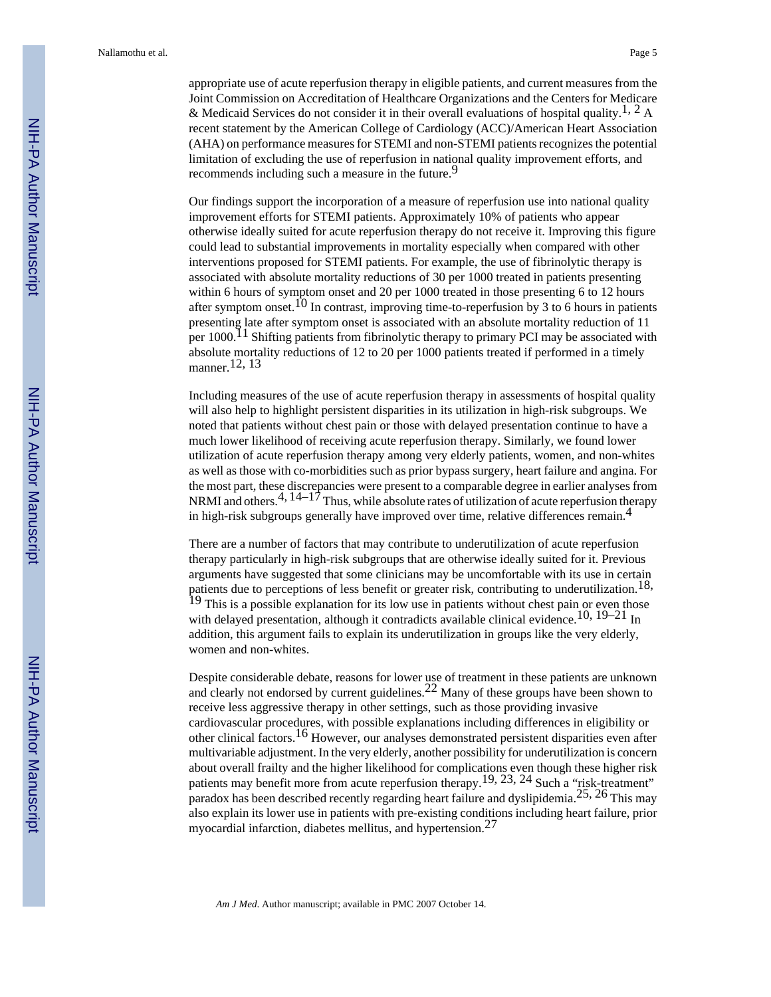appropriate use of acute reperfusion therapy in eligible patients, and current measures from the Joint Commission on Accreditation of Healthcare Organizations and the Centers for Medicare & Medicaid Services do not consider it in their overall evaluations of hospital quality.<sup>1, 2</sup> A recent statement by the American College of Cardiology (ACC)/American Heart Association (AHA) on performance measures for STEMI and non-STEMI patients recognizes the potential limitation of excluding the use of reperfusion in national quality improvement efforts, and recommends including such a measure in the future.<sup>9</sup>

Our findings support the incorporation of a measure of reperfusion use into national quality improvement efforts for STEMI patients. Approximately 10% of patients who appear otherwise ideally suited for acute reperfusion therapy do not receive it. Improving this figure could lead to substantial improvements in mortality especially when compared with other interventions proposed for STEMI patients. For example, the use of fibrinolytic therapy is associated with absolute mortality reductions of 30 per 1000 treated in patients presenting within 6 hours of symptom onset and 20 per 1000 treated in those presenting 6 to 12 hours after symptom onset.<sup>10</sup> In contrast, improving time-to-reperfusion by 3 to 6 hours in patients presenting late after symptom onset is associated with an absolute mortality reduction of 11 per  $1000$ .<sup>11</sup> Shifting patients from fibrinolytic therapy to primary PCI may be associated with absolute mortality reductions of 12 to 20 per 1000 patients treated if performed in a timely manner.12, 13

Including measures of the use of acute reperfusion therapy in assessments of hospital quality will also help to highlight persistent disparities in its utilization in high-risk subgroups. We noted that patients without chest pain or those with delayed presentation continue to have a much lower likelihood of receiving acute reperfusion therapy. Similarly, we found lower utilization of acute reperfusion therapy among very elderly patients, women, and non-whites as well as those with co-morbidities such as prior bypass surgery, heart failure and angina. For the most part, these discrepancies were present to a comparable degree in earlier analyses from NRMI and others.<sup>4, 14–17</sup> Thus, while absolute rates of utilization of acute reperfusion therapy in high-risk subgroups generally have improved over time, relative differences remain.4

There are a number of factors that may contribute to underutilization of acute reperfusion therapy particularly in high-risk subgroups that are otherwise ideally suited for it. Previous arguments have suggested that some clinicians may be uncomfortable with its use in certain patients due to perceptions of less benefit or greater risk, contributing to underutilization.<sup>18,</sup> <sup>19</sup> This is a possible explanation for its low use in patients without chest pain or even those with delayed presentation, although it contradicts available clinical evidence.<sup>10, 19–21</sup> In addition, this argument fails to explain its underutilization in groups like the very elderly, women and non-whites.

Despite considerable debate, reasons for lower use of treatment in these patients are unknown and clearly not endorsed by current guidelines.<sup>22</sup> Many of these groups have been shown to receive less aggressive therapy in other settings, such as those providing invasive cardiovascular procedures, with possible explanations including differences in eligibility or other clinical factors.16 However, our analyses demonstrated persistent disparities even after multivariable adjustment. In the very elderly, another possibility for underutilization is concern about overall frailty and the higher likelihood for complications even though these higher risk patients may benefit more from acute reperfusion therapy.19, 23, 24 Such a "risk-treatment" paradox has been described recently regarding heart failure and dyslipidemia.25, 26 This may also explain its lower use in patients with pre-existing conditions including heart failure, prior myocardial infarction, diabetes mellitus, and hypertension. $27$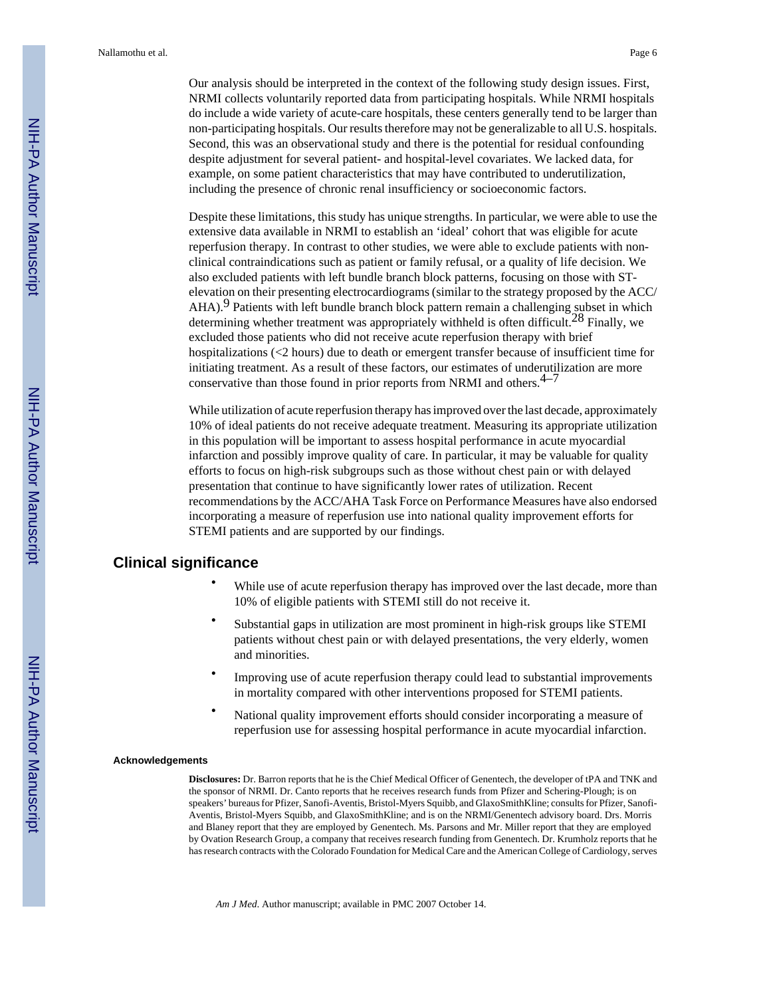Our analysis should be interpreted in the context of the following study design issues. First, NRMI collects voluntarily reported data from participating hospitals. While NRMI hospitals do include a wide variety of acute-care hospitals, these centers generally tend to be larger than non-participating hospitals. Our results therefore may not be generalizable to all U.S. hospitals. Second, this was an observational study and there is the potential for residual confounding despite adjustment for several patient- and hospital-level covariates. We lacked data, for example, on some patient characteristics that may have contributed to underutilization, including the presence of chronic renal insufficiency or socioeconomic factors.

Despite these limitations, this study has unique strengths. In particular, we were able to use the extensive data available in NRMI to establish an 'ideal' cohort that was eligible for acute reperfusion therapy. In contrast to other studies, we were able to exclude patients with nonclinical contraindications such as patient or family refusal, or a quality of life decision. We also excluded patients with left bundle branch block patterns, focusing on those with STelevation on their presenting electrocardiograms (similar to the strategy proposed by the ACC/  $AHA$ ).<sup>9</sup> Patients with left bundle branch block pattern remain a challenging subset in which determining whether treatment was appropriately withheld is often difficult.<sup>28</sup> Finally, we excluded those patients who did not receive acute reperfusion therapy with brief hospitalizations (<2 hours) due to death or emergent transfer because of insufficient time for initiating treatment. As a result of these factors, our estimates of underutilization are more conservative than those found in prior reports from NRMI and others. $4-7$ 

While utilization of acute reperfusion therapy has improved over the last decade, approximately 10% of ideal patients do not receive adequate treatment. Measuring its appropriate utilization in this population will be important to assess hospital performance in acute myocardial infarction and possibly improve quality of care. In particular, it may be valuable for quality efforts to focus on high-risk subgroups such as those without chest pain or with delayed presentation that continue to have significantly lower rates of utilization. Recent recommendations by the ACC/AHA Task Force on Performance Measures have also endorsed incorporating a measure of reperfusion use into national quality improvement efforts for STEMI patients and are supported by our findings.

#### **Clinical significance**

- While use of acute reperfusion therapy has improved over the last decade, more than 10% of eligible patients with STEMI still do not receive it.
- **•** Substantial gaps in utilization are most prominent in high-risk groups like STEMI patients without chest pain or with delayed presentations, the very elderly, women and minorities.
- **•** Improving use of acute reperfusion therapy could lead to substantial improvements in mortality compared with other interventions proposed for STEMI patients.
- **•** National quality improvement efforts should consider incorporating a measure of reperfusion use for assessing hospital performance in acute myocardial infarction.

#### **Acknowledgements**

**Disclosures:** Dr. Barron reports that he is the Chief Medical Officer of Genentech, the developer of tPA and TNK and the sponsor of NRMI. Dr. Canto reports that he receives research funds from Pfizer and Schering-Plough; is on speakers' bureaus for Pfizer, Sanofi-Aventis, Bristol-Myers Squibb, and GlaxoSmithKline; consults for Pfizer, Sanofi-Aventis, Bristol-Myers Squibb, and GlaxoSmithKline; and is on the NRMI/Genentech advisory board. Drs. Morris and Blaney report that they are employed by Genentech. Ms. Parsons and Mr. Miller report that they are employed by Ovation Research Group, a company that receives research funding from Genentech. Dr. Krumholz reports that he has research contracts with the Colorado Foundation for Medical Care and the American College of Cardiology, serves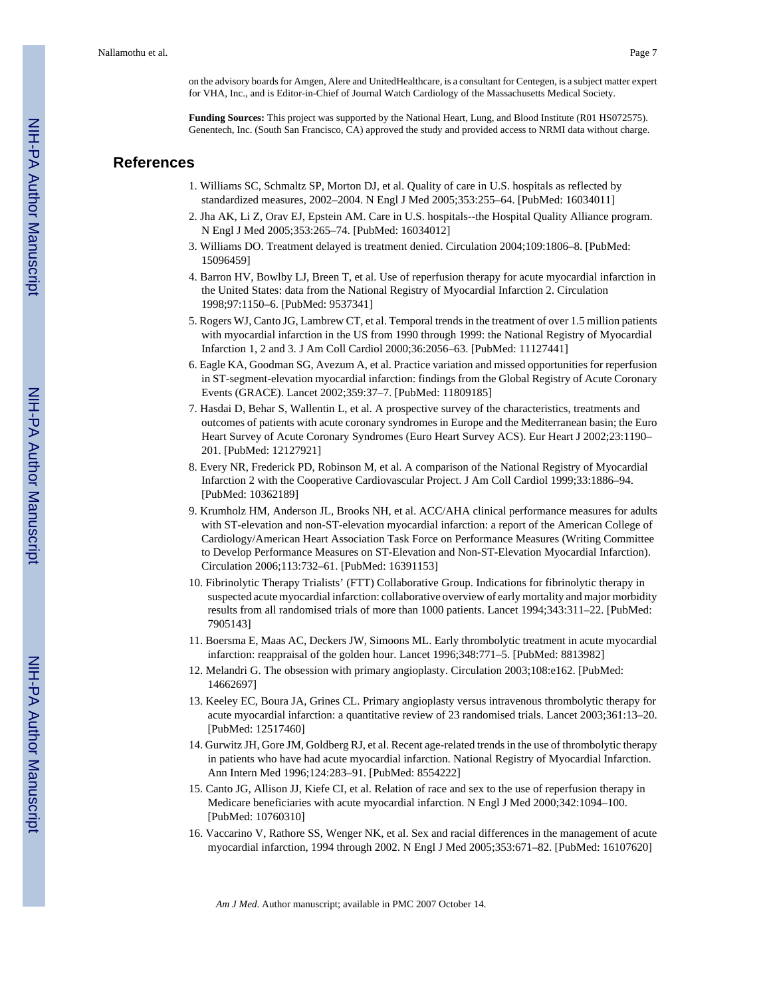on the advisory boards for Amgen, Alere and UnitedHealthcare, is a consultant for Centegen, is a subject matter expert for VHA, Inc., and is Editor-in-Chief of Journal Watch Cardiology of the Massachusetts Medical Society.

**Funding Sources:** This project was supported by the National Heart, Lung, and Blood Institute (R01 HS072575). Genentech, Inc. (South San Francisco, CA) approved the study and provided access to NRMI data without charge.

#### **References**

- 1. Williams SC, Schmaltz SP, Morton DJ, et al. Quality of care in U.S. hospitals as reflected by standardized measures, 2002–2004. N Engl J Med 2005;353:255–64. [PubMed: 16034011]
- 2. Jha AK, Li Z, Orav EJ, Epstein AM. Care in U.S. hospitals--the Hospital Quality Alliance program. N Engl J Med 2005;353:265–74. [PubMed: 16034012]
- 3. Williams DO. Treatment delayed is treatment denied. Circulation 2004;109:1806–8. [PubMed: 15096459]
- 4. Barron HV, Bowlby LJ, Breen T, et al. Use of reperfusion therapy for acute myocardial infarction in the United States: data from the National Registry of Myocardial Infarction 2. Circulation 1998;97:1150–6. [PubMed: 9537341]
- 5. Rogers WJ, Canto JG, Lambrew CT, et al. Temporal trends in the treatment of over 1.5 million patients with myocardial infarction in the US from 1990 through 1999: the National Registry of Myocardial Infarction 1, 2 and 3. J Am Coll Cardiol 2000;36:2056–63. [PubMed: 11127441]
- 6. Eagle KA, Goodman SG, Avezum A, et al. Practice variation and missed opportunities for reperfusion in ST-segment-elevation myocardial infarction: findings from the Global Registry of Acute Coronary Events (GRACE). Lancet 2002;359:37–7. [PubMed: 11809185]
- 7. Hasdai D, Behar S, Wallentin L, et al. A prospective survey of the characteristics, treatments and outcomes of patients with acute coronary syndromes in Europe and the Mediterranean basin; the Euro Heart Survey of Acute Coronary Syndromes (Euro Heart Survey ACS). Eur Heart J 2002;23:1190– 201. [PubMed: 12127921]
- 8. Every NR, Frederick PD, Robinson M, et al. A comparison of the National Registry of Myocardial Infarction 2 with the Cooperative Cardiovascular Project. J Am Coll Cardiol 1999;33:1886–94. [PubMed: 10362189]
- 9. Krumholz HM, Anderson JL, Brooks NH, et al. ACC/AHA clinical performance measures for adults with ST-elevation and non-ST-elevation myocardial infarction: a report of the American College of Cardiology/American Heart Association Task Force on Performance Measures (Writing Committee to Develop Performance Measures on ST-Elevation and Non-ST-Elevation Myocardial Infarction). Circulation 2006;113:732–61. [PubMed: 16391153]
- 10. Fibrinolytic Therapy Trialists' (FTT) Collaborative Group. Indications for fibrinolytic therapy in suspected acute myocardial infarction: collaborative overview of early mortality and major morbidity results from all randomised trials of more than 1000 patients. Lancet 1994;343:311–22. [PubMed: 7905143]
- 11. Boersma E, Maas AC, Deckers JW, Simoons ML. Early thrombolytic treatment in acute myocardial infarction: reappraisal of the golden hour. Lancet 1996;348:771–5. [PubMed: 8813982]
- 12. Melandri G. The obsession with primary angioplasty. Circulation 2003;108:e162. [PubMed: 14662697]
- 13. Keeley EC, Boura JA, Grines CL. Primary angioplasty versus intravenous thrombolytic therapy for acute myocardial infarction: a quantitative review of 23 randomised trials. Lancet 2003;361:13–20. [PubMed: 12517460]
- 14. Gurwitz JH, Gore JM, Goldberg RJ, et al. Recent age-related trends in the use of thrombolytic therapy in patients who have had acute myocardial infarction. National Registry of Myocardial Infarction. Ann Intern Med 1996;124:283–91. [PubMed: 8554222]
- 15. Canto JG, Allison JJ, Kiefe CI, et al. Relation of race and sex to the use of reperfusion therapy in Medicare beneficiaries with acute myocardial infarction. N Engl J Med 2000;342:1094–100. [PubMed: 10760310]
- 16. Vaccarino V, Rathore SS, Wenger NK, et al. Sex and racial differences in the management of acute myocardial infarction, 1994 through 2002. N Engl J Med 2005;353:671–82. [PubMed: 16107620]

*Am J Med*. Author manuscript; available in PMC 2007 October 14.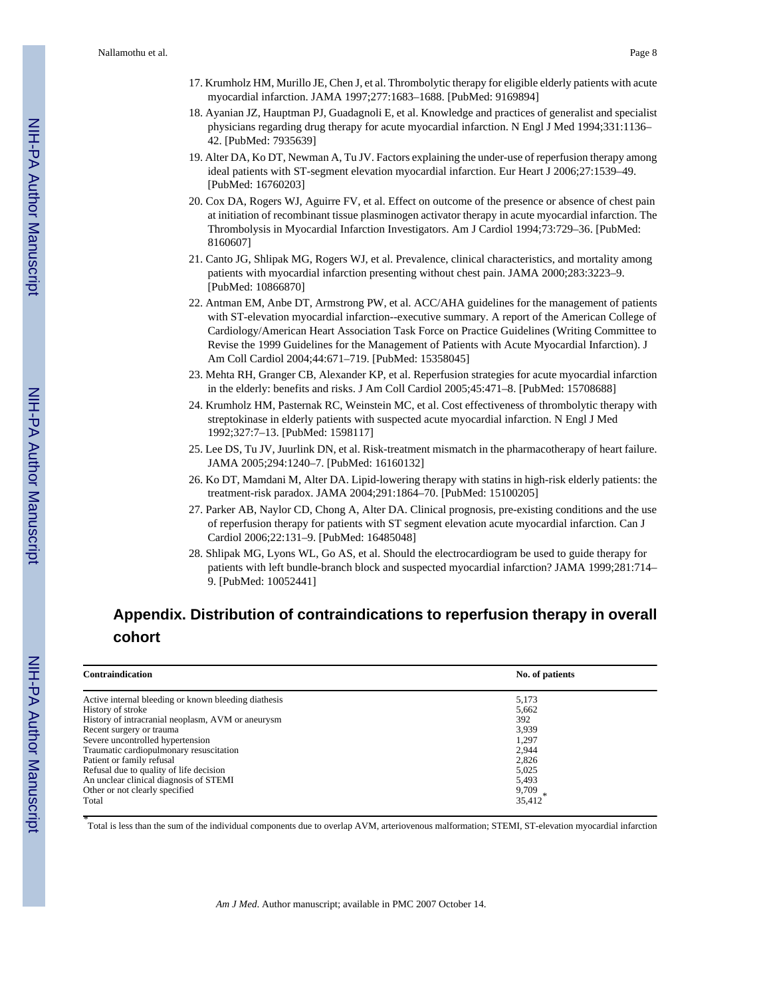- 17. Krumholz HM, Murillo JE, Chen J, et al. Thrombolytic therapy for eligible elderly patients with acute myocardial infarction. JAMA 1997;277:1683–1688. [PubMed: 9169894]
- 18. Ayanian JZ, Hauptman PJ, Guadagnoli E, et al. Knowledge and practices of generalist and specialist physicians regarding drug therapy for acute myocardial infarction. N Engl J Med 1994;331:1136– 42. [PubMed: 7935639]
- 19. Alter DA, Ko DT, Newman A, Tu JV. Factors explaining the under-use of reperfusion therapy among ideal patients with ST-segment elevation myocardial infarction. Eur Heart J 2006;27:1539–49. [PubMed: 16760203]
- 20. Cox DA, Rogers WJ, Aguirre FV, et al. Effect on outcome of the presence or absence of chest pain at initiation of recombinant tissue plasminogen activator therapy in acute myocardial infarction. The Thrombolysis in Myocardial Infarction Investigators. Am J Cardiol 1994;73:729–36. [PubMed: 8160607]
- 21. Canto JG, Shlipak MG, Rogers WJ, et al. Prevalence, clinical characteristics, and mortality among patients with myocardial infarction presenting without chest pain. JAMA 2000;283:3223–9. [PubMed: 10866870]
- 22. Antman EM, Anbe DT, Armstrong PW, et al. ACC/AHA guidelines for the management of patients with ST-elevation myocardial infarction--executive summary. A report of the American College of Cardiology/American Heart Association Task Force on Practice Guidelines (Writing Committee to Revise the 1999 Guidelines for the Management of Patients with Acute Myocardial Infarction). J Am Coll Cardiol 2004;44:671–719. [PubMed: 15358045]
- 23. Mehta RH, Granger CB, Alexander KP, et al. Reperfusion strategies for acute myocardial infarction in the elderly: benefits and risks. J Am Coll Cardiol 2005;45:471–8. [PubMed: 15708688]
- 24. Krumholz HM, Pasternak RC, Weinstein MC, et al. Cost effectiveness of thrombolytic therapy with streptokinase in elderly patients with suspected acute myocardial infarction. N Engl J Med 1992;327:7–13. [PubMed: 1598117]
- 25. Lee DS, Tu JV, Juurlink DN, et al. Risk-treatment mismatch in the pharmacotherapy of heart failure. JAMA 2005;294:1240–7. [PubMed: 16160132]
- 26. Ko DT, Mamdani M, Alter DA. Lipid-lowering therapy with statins in high-risk elderly patients: the treatment-risk paradox. JAMA 2004;291:1864–70. [PubMed: 15100205]
- 27. Parker AB, Naylor CD, Chong A, Alter DA. Clinical prognosis, pre-existing conditions and the use of reperfusion therapy for patients with ST segment elevation acute myocardial infarction. Can J Cardiol 2006;22:131–9. [PubMed: 16485048]
- 28. Shlipak MG, Lyons WL, Go AS, et al. Should the electrocardiogram be used to guide therapy for patients with left bundle-branch block and suspected myocardial infarction? JAMA 1999;281:714– 9. [PubMed: 10052441]

# **Appendix. Distribution of contraindications to reperfusion therapy in overall cohort**

| Contraindication                                     | No. of patients |
|------------------------------------------------------|-----------------|
| Active internal bleeding or known bleeding diathesis | 5,173           |
| History of stroke                                    | 5,662           |
| History of intracranial neoplasm, AVM or aneurysm    | 392             |
| Recent surgery or trauma                             | 3.939           |
| Severe uncontrolled hypertension                     | 1,297           |
| Traumatic cardiopulmonary resuscitation              | 2.944           |
| Patient or family refusal                            | 2,826           |
| Refusal due to quality of life decision              | 5,025           |
| An unclear clinical diagnosis of STEMI               | 5,493           |
| Other or not clearly specified                       | 9,709           |
| Total                                                | 35,412          |

*\** Total is less than the sum of the individual components due to overlap AVM, arteriovenous malformation; STEMI, ST-elevation myocardial infarction

*Am J Med*. Author manuscript; available in PMC 2007 October 14.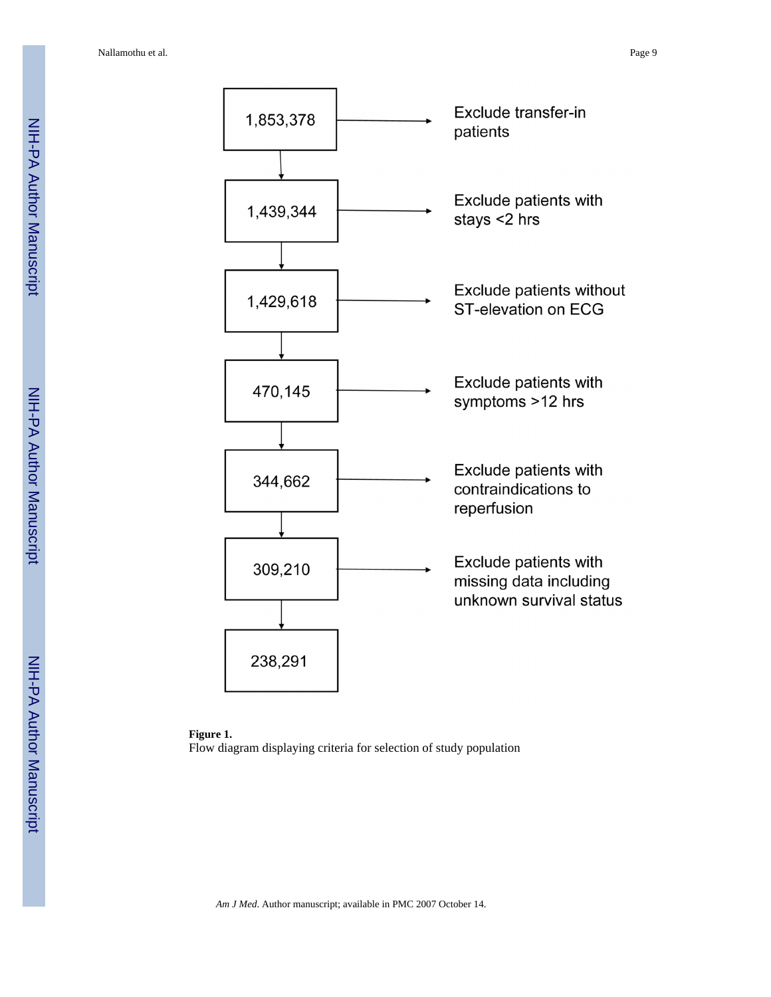

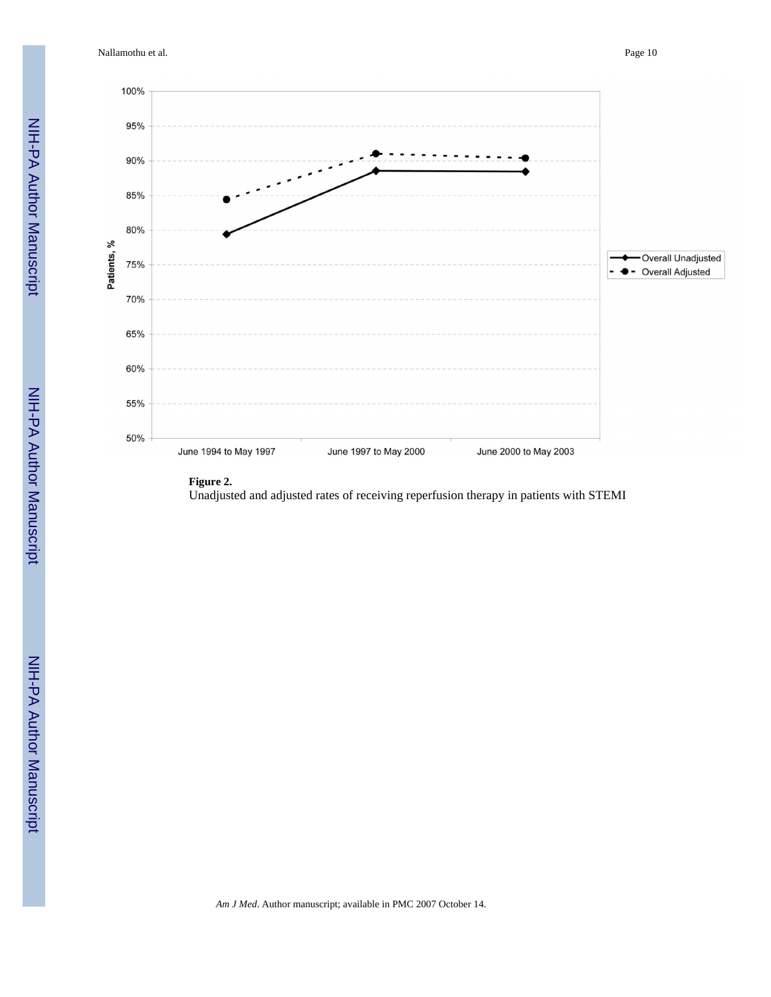Nallamothu et al. Page 10



#### **Figure 2.**

Unadjusted and adjusted rates of receiving reperfusion therapy in patients with STEMI

NIH-PA Author Manuscript

NIH-PA Author Manuscript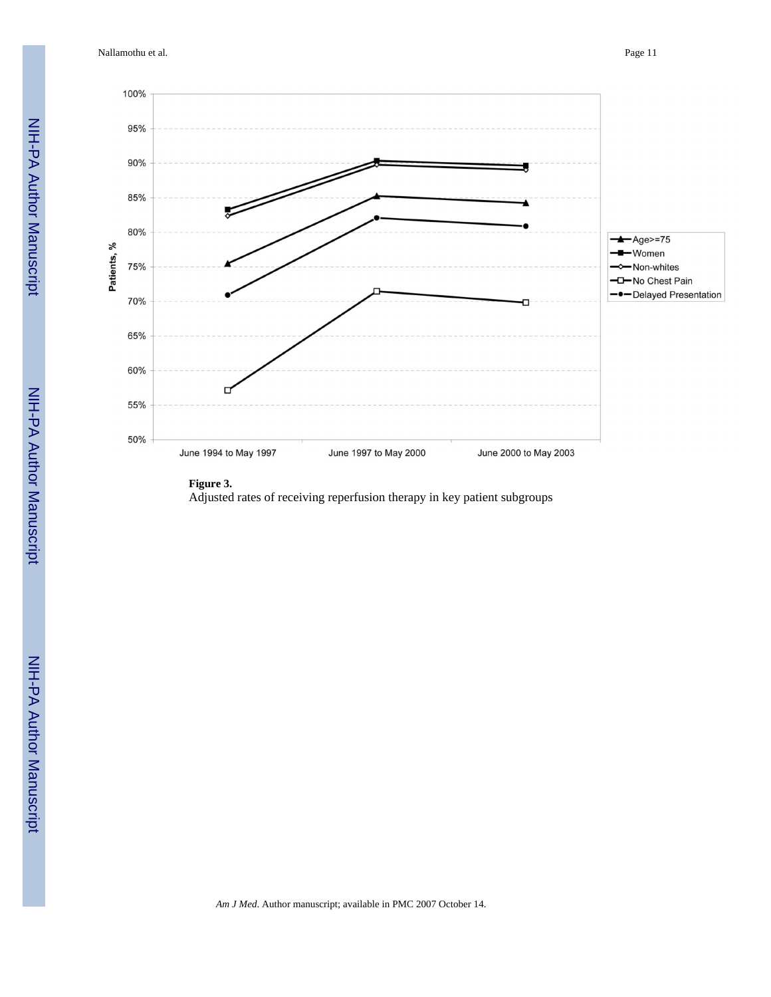Nallamothu et al. Page 11



#### **Figure 3.**

Adjusted rates of receiving reperfusion therapy in key patient subgroups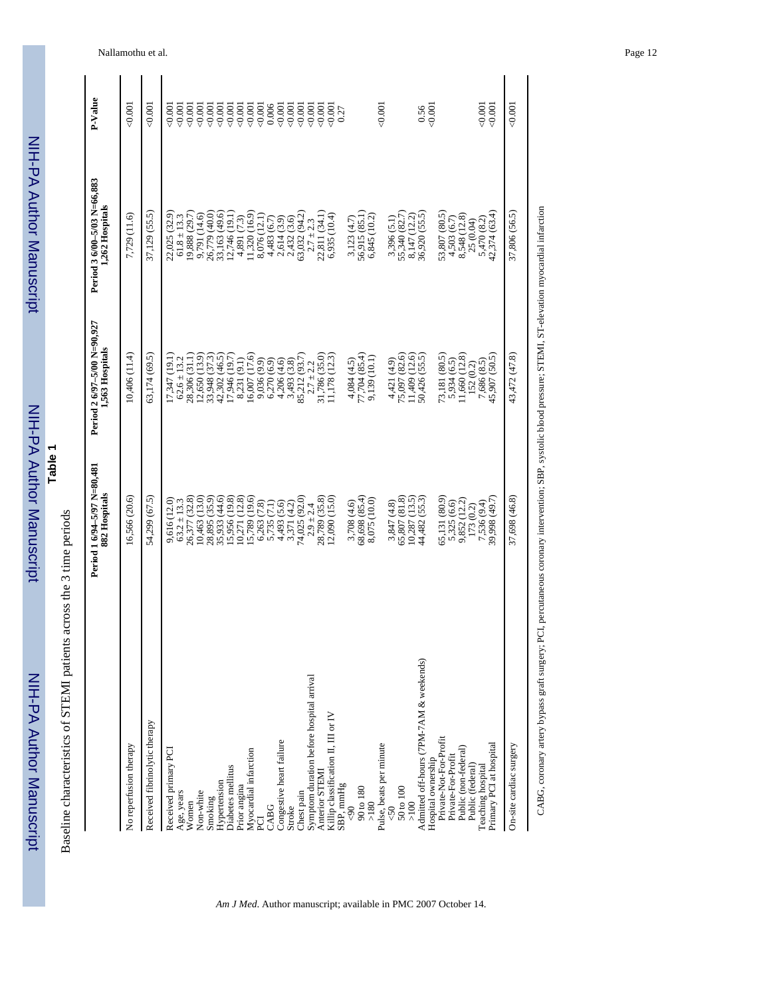|                                          | Period 1 6/94-5/97 N=80,481<br>882 Hospitals | Period 2 6/97-5/00 N=90,927<br>1,563 Hospitals | Period 3 6/00-5/03 N=66,883<br>1,262 Hospitals | P-Value  |
|------------------------------------------|----------------------------------------------|------------------------------------------------|------------------------------------------------|----------|
| No reperfusion therapy                   | 16,566 (20.6)                                | 10,406 (11.4)                                  | 7,729 (11.6)                                   | 0.001    |
| Received fibrinolytic therapy            | 54,299 (67.5)                                | 63,174 (69.5)                                  | 37,129 (55.5)                                  | 0.001    |
| Received primary PCI                     | 9,616 (12.0)                                 | (7,347(19.1))                                  | 22,025 (32.9)                                  | $-0.001$ |
| Age, years                               | $63.2 \pm 13.3$                              | $62.6 \pm 13.2$                                | $61.8 \pm 13.3$                                | 0.001    |
| Women                                    | 26,377 (32.8)                                | 28,306 (31.1)                                  | 19,888 (29.7)                                  | 0.001    |
| Non-white                                | 10,463 (13.0)                                | .2,650(13.9)                                   | 9,791 (14.6)                                   | 0.001    |
| Smoking                                  | 28,895 (35.9)                                | 33,948 (37.3)                                  | 26,779 (40.0)                                  | 0.001    |
| Hypertension                             | 35,933 (44.6)                                | 42,302 (46.5)                                  | 33,163 (49.6)                                  | 0.001    |
| Diabetes mellitus                        | 15,956 (19.8)                                | 7,946 (19.7)                                   | 12,746 (19.1)                                  | 0.001    |
| Prior angina                             |                                              | 8,231 (9.1)                                    | 4,891 (7.3)                                    | 0.001    |
| Myocardial infarction                    | 10,271 (12.8)<br>15,789 (19.6)               | 6,007 (17.6)                                   | (1,320(16.9))                                  | 0.001    |
| pd                                       | 6,263 (7.8)                                  | 9,036 (9.9)                                    | 8,076 (12.1)                                   | 0.001    |
| CABG                                     | 5,735 (7.1)<br>4,493 (5.6)                   | 6,270(6.9)                                     | 4,483 (6.7)                                    | 0.006    |
| Congestive heart failure                 |                                              | 4,206 (4.6)                                    |                                                | 0.001    |
| Stroke                                   | 3,371 (4.2)                                  | 3,493 (3.8)                                    | 2,614 (3.9)<br>2,432 (3.6)                     | 0.001    |
| Chest pain                               | 74,025 (92.0)                                | 85,212 (93.7)                                  | 63,032 (94.2)                                  | 0.001    |
| Symptom duration before hospital arrival | $2.9 \pm 2.4$                                | $2.7 \pm 2.2$                                  | $2.7 \pm 2.3$                                  | 0.001    |
| Anterior STEMI                           | 28,789 (35.8)                                | 31,786 (35.0)                                  | 22,811 (34.1)                                  | 0.001    |
| Killip classification II, III or IV      | (2,090(15.0))                                | $.1,178$ $(12.3)$                              | 6,935(10.4)                                    | 0.001    |
| SBP, mmHg                                |                                              |                                                |                                                | 0.27     |
| $\sqrt{6}$                               | 3,708 (4.6)                                  | 4,084 (4.5)                                    | 3,123(4.7)                                     |          |
| 90 to 180                                | 68,698 (85.4)                                | 77,704 (85.4)                                  | 56,915 (85.1)                                  |          |
| $>180$                                   | 8,075 (10.0)                                 | 9,139 (10.1)                                   | 6,845 (10.2)                                   |          |
| Pulse, beats per minute                  |                                              |                                                |                                                | 0.001    |
| $\overline{50}$                          | 3,847 (4.8)                                  | 4,421 (4.9)                                    |                                                |          |
| 50 to 100                                | 65,807 (81.8)                                | 75,097 (82.6)                                  | 3,396 (5.1)<br>55,340 (82.7)                   |          |
| $>100$                                   | 10,287(13.5)                                 | 1,409 (12.6)                                   | 8,147 (12.2)                                   |          |
| Admitted off-hours (7PM-7AM & weekends)  | 44,482 (55.3)                                | 60,426 (55.5)                                  | 36,920 (55.5)                                  | 0.56     |
| Hospital ownership                       |                                              |                                                |                                                | 0.001    |
| Private-Not-For-Profit                   | 55,131 (80.9)                                | 73,181 (80.5)                                  | 53,807 (80.5)                                  |          |
| Private-For-Profit                       | 5,325 (6.6)                                  | 5,934 (6.5)                                    | 4,503 (6.7)                                    |          |
| Public (non-federal)                     | 9,852 (12.2)                                 | .1,660(12.8)                                   | 8,548 (12.8)                                   |          |
| Public (federal)                         | 173 (0.2)                                    | 152 (0.2)                                      | 25 (0.04)                                      |          |
| Teaching hospital                        | 7,536 (9.4)                                  | 7,686 (8.5)                                    | $5,470$ (8.2)<br>$42,374$ (63.4)               | 0.001    |
| Primary PCI at hospital                  | 39,998 (49.7)                                | 45,907 (50.5)                                  |                                                | 0.001    |
| On-site cardiac surgery                  | 37,698 (46.8)                                | 43,472 (47.8)                                  | 37,806 (56.5)                                  | 0.001    |
|                                          |                                              |                                                |                                                |          |

CABG, coronary artery bypass graft surgery; PCI, percutaneous coronary intervention; SBP, systolic blood pressure; STEMI, ST-elevation myocardial infarction CABG, coronary artery bypass graft surgery; PCI, percutaneous coronary intervention; SBP, systolic blood pressure; STEMI, ST-elevation myocardial infarction

*Am J Med*. Author manuscript; available in PMC 2007 October 14.

 NIH-PA Author ManuscriptNIH-PA Author Manuscript

**Table 1**

Baseline characteristics of STEMI patients across the 3 time periods

Baseline characteristics of STEMI patients across the 3 time periods